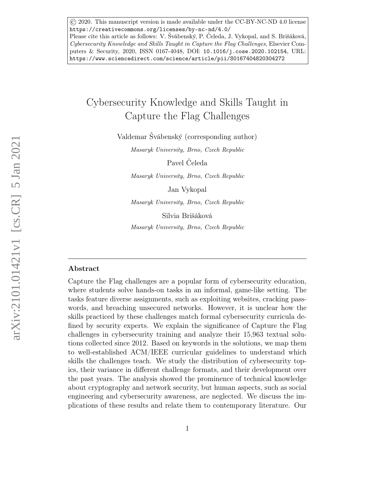© 2020. This manuscript version is made available under the CC-BY-NC-ND 4.0 license https://creativecommons.org/licenses/by-nc-nd/4.0/ Please cite this article as follows: V. Švábenský, P. Čeleda, J. Vykopal, and S. Brišáková, Cybersecurity Knowledge and Skills Taught in Capture the Flag Challenges, Elsevier Computers & Security, 2020, ISSN 0167-4048, DOI: 10.1016/j.cose.2020.102154, URL: https://www.sciencedirect.com/science/article/pii/S0167404820304272

# Cybersecurity Knowledge and Skills Taught in Capture the Flag Challenges

Valdemar Švábenský (corresponding author)

Masaryk University, Brno, Czech Republic

Pavel Čeleda

Masaryk University, Brno, Czech Republic

Jan Vykopal

Masaryk University, Brno, Czech Republic

Silvia Brišáková

Masaryk University, Brno, Czech Republic

#### Abstract

Capture the Flag challenges are a popular form of cybersecurity education, where students solve hands-on tasks in an informal, game-like setting. The tasks feature diverse assignments, such as exploiting websites, cracking passwords, and breaching unsecured networks. However, it is unclear how the skills practiced by these challenges match formal cybersecurity curricula defined by security experts. We explain the significance of Capture the Flag challenges in cybersecurity training and analyze their 15,963 textual solutions collected since 2012. Based on keywords in the solutions, we map them to well-established ACM/IEEE curricular guidelines to understand which skills the challenges teach. We study the distribution of cybersecurity topics, their variance in different challenge formats, and their development over the past years. The analysis showed the prominence of technical knowledge about cryptography and network security, but human aspects, such as social engineering and cybersecurity awareness, are neglected. We discuss the implications of these results and relate them to contemporary literature. Our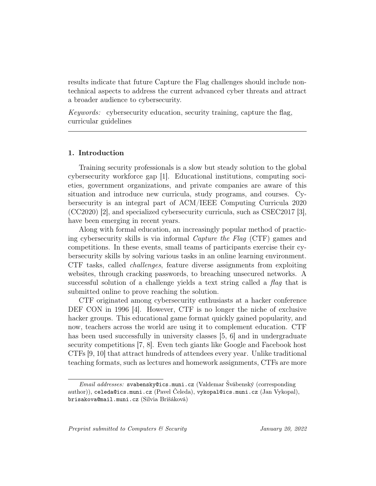results indicate that future Capture the Flag challenges should include nontechnical aspects to address the current advanced cyber threats and attract a broader audience to cybersecurity.

Keywords: cybersecurity education, security training, capture the flag, curricular guidelines

## 1. Introduction

Training security professionals is a slow but steady solution to the global cybersecurity workforce gap [1]. Educational institutions, computing societies, government organizations, and private companies are aware of this situation and introduce new curricula, study programs, and courses. Cybersecurity is an integral part of ACM/IEEE Computing Curricula 2020 (CC2020) [2], and specialized cybersecurity curricula, such as CSEC2017 [3], have been emerging in recent years.

Along with formal education, an increasingly popular method of practicing cybersecurity skills is via informal Capture the Flag (CTF) games and competitions. In these events, small teams of participants exercise their cybersecurity skills by solving various tasks in an online learning environment. CTF tasks, called challenges, feature diverse assignments from exploiting websites, through cracking passwords, to breaching unsecured networks. A successful solution of a challenge yields a text string called a flag that is submitted online to prove reaching the solution.

CTF originated among cybersecurity enthusiasts at a hacker conference DEF CON in 1996 [4]. However, CTF is no longer the niche of exclusive hacker groups. This educational game format quickly gained popularity, and now, teachers across the world are using it to complement education. CTF has been used successfully in university classes [5, 6] and in undergraduate security competitions [7, 8]. Even tech giants like Google and Facebook host CTFs [9, 10] that attract hundreds of attendees every year. Unlike traditional teaching formats, such as lectures and homework assignments, CTFs are more

Email addresses: svabensky@ics.muni.cz (Valdemar Švábenský (corresponding author)), celeda@ics.muni.cz (Pavel Čeleda), vykopal@ics.muni.cz (Jan Vykopal), brisakova@mail.muni.cz (Silvia Brišáková)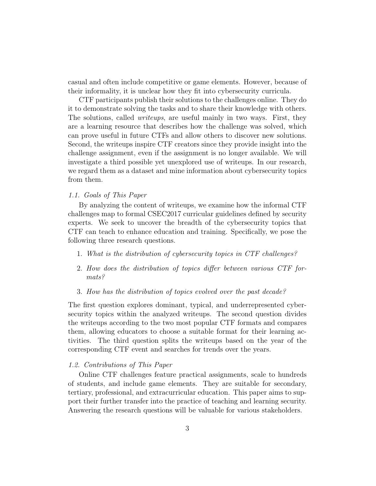casual and often include competitive or game elements. However, because of their informality, it is unclear how they fit into cybersecurity curricula.

CTF participants publish their solutions to the challenges online. They do it to demonstrate solving the tasks and to share their knowledge with others. The solutions, called *writeups*, are useful mainly in two ways. First, they are a learning resource that describes how the challenge was solved, which can prove useful in future CTFs and allow others to discover new solutions. Second, the writeups inspire CTF creators since they provide insight into the challenge assignment, even if the assignment is no longer available. We will investigate a third possible yet unexplored use of writeups. In our research, we regard them as a dataset and mine information about cybersecurity topics from them.

## 1.1. Goals of This Paper

By analyzing the content of writeups, we examine how the informal CTF challenges map to formal CSEC2017 curricular guidelines defined by security experts. We seek to uncover the breadth of the cybersecurity topics that CTF can teach to enhance education and training. Specifically, we pose the following three research questions.

- 1. What is the distribution of cybersecurity topics in CTF challenges?
- 2. How does the distribution of topics differ between various CTF formats?
- 3. How has the distribution of topics evolved over the past decade?

The first question explores dominant, typical, and underrepresented cybersecurity topics within the analyzed writeups. The second question divides the writeups according to the two most popular CTF formats and compares them, allowing educators to choose a suitable format for their learning activities. The third question splits the writeups based on the year of the corresponding CTF event and searches for trends over the years.

## 1.2. Contributions of This Paper

Online CTF challenges feature practical assignments, scale to hundreds of students, and include game elements. They are suitable for secondary, tertiary, professional, and extracurricular education. This paper aims to support their further transfer into the practice of teaching and learning security. Answering the research questions will be valuable for various stakeholders.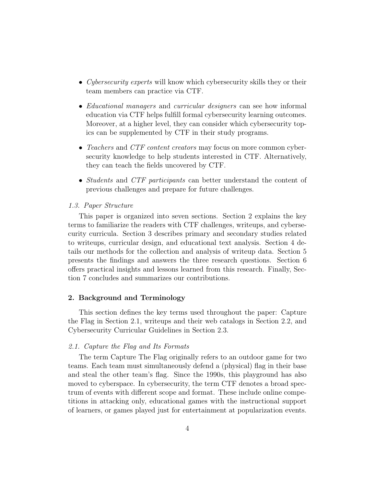- Cybersecurity experts will know which cybersecurity skills they or their team members can practice via CTF.
- *Educational managers* and *curricular designers* can see how informal education via CTF helps fulfill formal cybersecurity learning outcomes. Moreover, at a higher level, they can consider which cybersecurity topics can be supplemented by CTF in their study programs.
- Teachers and CTF content creators may focus on more common cybersecurity knowledge to help students interested in CTF. Alternatively, they can teach the fields uncovered by CTF.
- *Students* and *CTF participants* can better understand the content of previous challenges and prepare for future challenges.

## 1.3. Paper Structure

This paper is organized into seven sections. Section 2 explains the key terms to familiarize the readers with CTF challenges, writeups, and cybersecurity curricula. Section 3 describes primary and secondary studies related to writeups, curricular design, and educational text analysis. Section 4 details our methods for the collection and analysis of writeup data. Section 5 presents the findings and answers the three research questions. Section 6 offers practical insights and lessons learned from this research. Finally, Section 7 concludes and summarizes our contributions.

## 2. Background and Terminology

This section defines the key terms used throughout the paper: Capture the Flag in Section 2.1, writeups and their web catalogs in Section 2.2, and Cybersecurity Curricular Guidelines in Section 2.3.

## 2.1. Capture the Flag and Its Formats

The term Capture The Flag originally refers to an outdoor game for two teams. Each team must simultaneously defend a (physical) flag in their base and steal the other team's flag. Since the 1990s, this playground has also moved to cyberspace. In cybersecurity, the term CTF denotes a broad spectrum of events with different scope and format. These include online competitions in attacking only, educational games with the instructional support of learners, or games played just for entertainment at popularization events.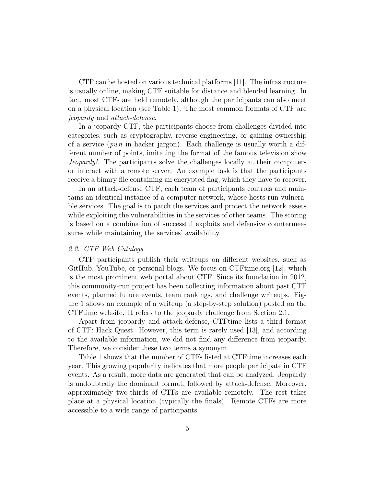CTF can be hosted on various technical platforms [11]. The infrastructure is usually online, making CTF suitable for distance and blended learning. In fact, most CTFs are held remotely, although the participants can also meet on a physical location (see Table 1). The most common formats of CTF are jeopardy and attack-defense.

In a jeopardy CTF, the participants choose from challenges divided into categories, such as cryptography, reverse engineering, or gaining ownership of a service (*pwn* in hacker jargon). Each challenge is usually worth a different number of points, imitating the format of the famous television show Jeopardy!. The participants solve the challenges locally at their computers or interact with a remote server. An example task is that the participants receive a binary file containing an encrypted flag, which they have to recover.

In an attack-defense CTF, each team of participants controls and maintains an identical instance of a computer network, whose hosts run vulnerable services. The goal is to patch the services and protect the network assets while exploiting the vulnerabilities in the services of other teams. The scoring is based on a combination of successful exploits and defensive countermeasures while maintaining the services' availability.

## 2.2. CTF Web Catalogs

CTF participants publish their writeups on different websites, such as GitHub, YouTube, or personal blogs. We focus on CTFtime.org [12], which is the most prominent web portal about CTF. Since its foundation in 2012, this community-run project has been collecting information about past CTF events, planned future events, team rankings, and challenge writeups. Figure 1 shows an example of a writeup (a step-by-step solution) posted on the CTFtime website. It refers to the jeopardy challenge from Section 2.1.

Apart from jeopardy and attack-defense, CTFtime lists a third format of CTF: Hack Quest. However, this term is rarely used [13], and according to the available information, we did not find any difference from jeopardy. Therefore, we consider these two terms a synonym.

Table 1 shows that the number of CTFs listed at CTFtime increases each year. This growing popularity indicates that more people participate in CTF events. As a result, more data are generated that can be analyzed. Jeopardy is undoubtedly the dominant format, followed by attack-defense. Moreover, approximately two-thirds of CTFs are available remotely. The rest takes place at a physical location (typically the finals). Remote CTFs are more accessible to a wide range of participants.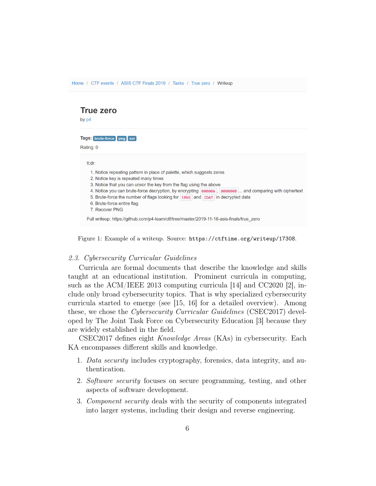# **True zero**

by p4

Tags: brute-force png xor

Rating: 0

 $tl; c$ 

| u:ar:                                                                                                 |  |
|-------------------------------------------------------------------------------------------------------|--|
| 1. Notice repeating pattern in place of palette, which suggests zeros                                 |  |
| 2. Notice key is repeated many times                                                                  |  |
| 3. Notice that you can unxor the key from the flag using the above                                    |  |
| 4. Notice you can brute-force decryption, by encrypting 00000A, 000000B  and comparing with ciphertex |  |
| 5. Brute-force the number of flags looking for <b>tRNS</b> and <b>IDAT</b> in decrypted data          |  |
| 6. Brute-force entire flag                                                                            |  |
| 7. Recover PNG                                                                                        |  |
| Full writeup: https://github.com/p4-team/ctf/tree/master/2019-11-16-asis-finals/true zero             |  |

Figure 1: Example of a writeup. Source: https://ctftime.org/writeup/17308.

#### 2.3. Cybersecurity Curricular Guidelines

Curricula are formal documents that describe the knowledge and skills taught at an educational institution. Prominent curricula in computing, such as the ACM/IEEE 2013 computing curricula [14] and CC2020 [2], include only broad cybersecurity topics. That is why specialized cybersecurity curricula started to emerge (see [15, 16] for a detailed overview). Among these, we chose the *Cybersecurity Curricular Guidelines* (CSEC2017) developed by The Joint Task Force on Cybersecurity Education [3] because they are widely established in the field.

CSEC2017 defines eight Knowledge Areas (KAs) in cybersecurity. Each KA encompasses different skills and knowledge.

- 1. Data security includes cryptography, forensics, data integrity, and authentication.
- 2. Software security focuses on secure programming, testing, and other aspects of software development.
- 3. Component security deals with the security of components integrated into larger systems, including their design and reverse engineering.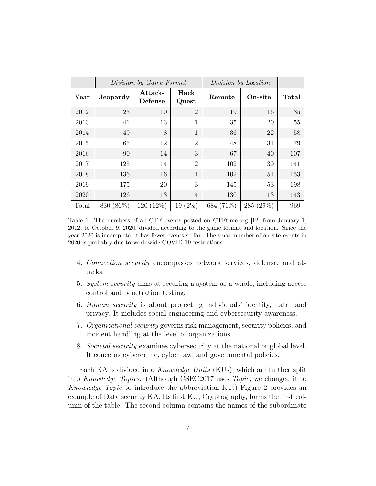|       | Division by Game Format |                    | Division by Location |           |           |       |
|-------|-------------------------|--------------------|----------------------|-----------|-----------|-------|
| Year  | <b>Jeopardy</b>         | Attack-<br>Defense | Hack<br>Quest        | Remote    | On-site   | Total |
| 2012  | 23                      | 10                 | $\overline{2}$       | 19        | 16        | 35    |
| 2013  | 41                      | 13                 | 1                    | 35        | 20        | 55    |
| 2014  | 49                      | 8                  | 1                    | 36        | 22        | 58    |
| 2015  | 65                      | 12                 | $\overline{2}$       | 48        | 31        | 79    |
| 2016  | 90                      | 14                 | 3                    | 67        | 40        | 107   |
| 2017  | 125                     | 14                 | $\overline{2}$       | 102       | 39        | 141   |
| 2018  | 136                     | 16                 | 1                    | 102       | 51        | 153   |
| 2019  | 175                     | 20                 | 3                    | 145       | 53        | 198   |
| 2020  | 126                     | 13                 | $\overline{4}$       | 130       | 13        | 143   |
| Total | 830 (86%)               | 120 (12\%)         | $19(2\%)$            | 684 (71%) | 285 (29%) | 969   |

Table 1: The numbers of all CTF events posted on CTFtime.org [12] from January 1, 2012, to October 9, 2020, divided according to the game format and location. Since the year 2020 is incomplete, it has fewer events so far. The small number of on-site events in 2020 is probably due to worldwide COVID-19 restrictions.

- 4. Connection security encompasses network services, defense, and attacks.
- 5. System security aims at securing a system as a whole, including access control and penetration testing.
- 6. Human security is about protecting individuals' identity, data, and privacy. It includes social engineering and cybersecurity awareness.
- 7. Organizational security governs risk management, security policies, and incident handling at the level of organizations.
- 8. Societal security examines cybersecurity at the national or global level. It concerns cybercrime, cyber law, and governmental policies.

Each KA is divided into Knowledge Units (KUs), which are further split into Knowledge Topics. (Although CSEC2017 uses Topic, we changed it to Knowledge Topic to introduce the abbreviation KT.) Figure 2 provides an example of Data security KA. Its first KU, Cryptography, forms the first column of the table. The second column contains the names of the subordinate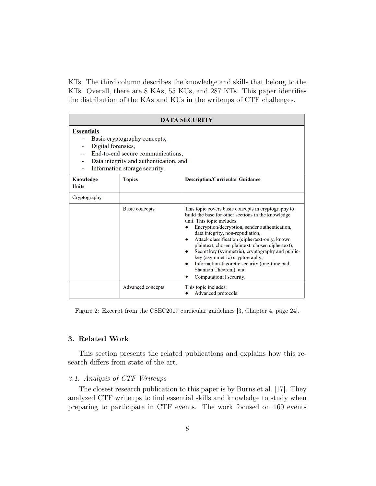KTs. The third column describes the knowledge and skills that belong to the KTs. Overall, there are 8 KAs, 55 KUs, and 287 KTs. This paper identifies the distribution of the KAs and KUs in the writeups of CTF challenges.

| <b>DATA SECURITY</b>                                                                                                                                                                    |                   |                                                                                                                                                                                                                                                                                                                                                                                                                                                                                                                                             |  |  |
|-----------------------------------------------------------------------------------------------------------------------------------------------------------------------------------------|-------------------|---------------------------------------------------------------------------------------------------------------------------------------------------------------------------------------------------------------------------------------------------------------------------------------------------------------------------------------------------------------------------------------------------------------------------------------------------------------------------------------------------------------------------------------------|--|--|
| <b>Essentials</b><br>Basic cryptography concepts,<br>Digital forensics,<br>End-to-end secure communications,<br>Data integrity and authentication, and<br>Information storage security. |                   |                                                                                                                                                                                                                                                                                                                                                                                                                                                                                                                                             |  |  |
| <b>Topics</b><br><b>Knowledge</b><br><b>Units</b>                                                                                                                                       |                   | <b>Description/Curricular Guidance</b>                                                                                                                                                                                                                                                                                                                                                                                                                                                                                                      |  |  |
| Cryptography                                                                                                                                                                            |                   |                                                                                                                                                                                                                                                                                                                                                                                                                                                                                                                                             |  |  |
|                                                                                                                                                                                         | Basic concepts    | This topic covers basic concepts in cryptography to<br>build the base for other sections in the knowledge<br>unit. This topic includes:<br>Encryption/decryption, sender authentication,<br>data integrity, non-repudiation,<br>Attack classification (ciphertext-only, known<br>۰<br>plaintext, chosen plaintext, chosen ciphertext),<br>Secret key (symmetric), cryptography and public-<br>۰<br>key (asymmetric) cryptography,<br>Information-theoretic security (one-time pad,<br>٠<br>Shannon Theorem), and<br>Computational security. |  |  |
|                                                                                                                                                                                         | Advanced concepts | This topic includes:<br>Advanced protocols:                                                                                                                                                                                                                                                                                                                                                                                                                                                                                                 |  |  |

Figure 2: Excerpt from the CSEC2017 curricular guidelines [3, Chapter 4, page 24].

## 3. Related Work

This section presents the related publications and explains how this research differs from state of the art.

## 3.1. Analysis of CTF Writeups

The closest research publication to this paper is by Burns et al. [17]. They analyzed CTF writeups to find essential skills and knowledge to study when preparing to participate in CTF events. The work focused on 160 events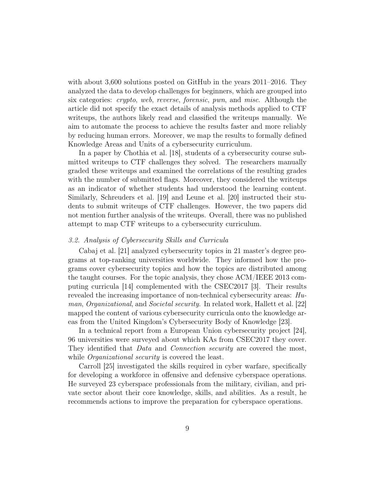with about 3,600 solutions posted on GitHub in the years 2011–2016. They analyzed the data to develop challenges for beginners, which are grouped into six categories: crypto, web, reverse, forensic, pwn, and misc. Although the article did not specify the exact details of analysis methods applied to CTF writeups, the authors likely read and classified the writeups manually. We aim to automate the process to achieve the results faster and more reliably by reducing human errors. Moreover, we map the results to formally defined Knowledge Areas and Units of a cybersecurity curriculum.

In a paper by Chothia et al. [18], students of a cybersecurity course submitted writeups to CTF challenges they solved. The researchers manually graded these writeups and examined the correlations of the resulting grades with the number of submitted flags. Moreover, they considered the writeups as an indicator of whether students had understood the learning content. Similarly, Schreuders et al. [19] and Leune et al. [20] instructed their students to submit writeups of CTF challenges. However, the two papers did not mention further analysis of the writeups. Overall, there was no published attempt to map CTF writeups to a cybersecurity curriculum.

## 3.2. Analysis of Cybersecurity Skills and Curricula

Cabaj et al. [21] analyzed cybersecurity topics in 21 master's degree programs at top-ranking universities worldwide. They informed how the programs cover cybersecurity topics and how the topics are distributed among the taught courses. For the topic analysis, they chose ACM/IEEE 2013 computing curricula [14] complemented with the CSEC2017 [3]. Their results revealed the increasing importance of non-technical cybersecurity areas: Human, Organizational, and Societal security. In related work, Hallett et al. [22] mapped the content of various cybersecurity curricula onto the knowledge areas from the United Kingdom's Cybersecurity Body of Knowledge [23].

In a technical report from a European Union cybersecurity project [24], 96 universities were surveyed about which KAs from CSEC2017 they cover. They identified that *Data* and *Connection security* are covered the most, while *Organizational security* is covered the least.

Carroll [25] investigated the skills required in cyber warfare, specifically for developing a workforce in offensive and defensive cyberspace operations. He surveyed 23 cyberspace professionals from the military, civilian, and private sector about their core knowledge, skills, and abilities. As a result, he recommends actions to improve the preparation for cyberspace operations.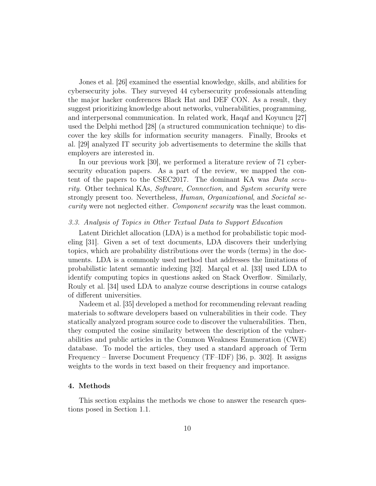Jones et al. [26] examined the essential knowledge, skills, and abilities for cybersecurity jobs. They surveyed 44 cybersecurity professionals attending the major hacker conferences Black Hat and DEF CON. As a result, they suggest prioritizing knowledge about networks, vulnerabilities, programming, and interpersonal communication. In related work, Haqaf and Koyuncu [27] used the Delphi method [28] (a structured communication technique) to discover the key skills for information security managers. Finally, Brooks et al. [29] analyzed IT security job advertisements to determine the skills that employers are interested in.

In our previous work [30], we performed a literature review of 71 cybersecurity education papers. As a part of the review, we mapped the content of the papers to the CSEC2017. The dominant KA was Data security. Other technical KAs, Software, Connection, and System security were strongly present too. Nevertheless, *Human, Organizational*, and *Societal se*curity were not neglected either. Component security was the least common.

## 3.3. Analysis of Topics in Other Textual Data to Support Education

Latent Dirichlet allocation (LDA) is a method for probabilistic topic modeling [31]. Given a set of text documents, LDA discovers their underlying topics, which are probability distributions over the words (terms) in the documents. LDA is a commonly used method that addresses the limitations of probabilistic latent semantic indexing [32]. Marçal et al. [33] used LDA to identify computing topics in questions asked on Stack Overflow. Similarly, Rouly et al. [34] used LDA to analyze course descriptions in course catalogs of different universities.

Nadeem et al. [35] developed a method for recommending relevant reading materials to software developers based on vulnerabilities in their code. They statically analyzed program source code to discover the vulnerabilities. Then, they computed the cosine similarity between the description of the vulnerabilities and public articles in the Common Weakness Enumeration (CWE) database. To model the articles, they used a standard approach of Term Frequency – Inverse Document Frequency (TF–IDF) [36, p. 302]. It assigns weights to the words in text based on their frequency and importance.

## 4. Methods

This section explains the methods we chose to answer the research questions posed in Section 1.1.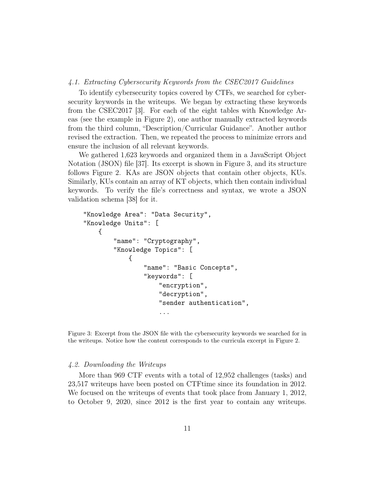#### 4.1. Extracting Cybersecurity Keywords from the CSEC2017 Guidelines

To identify cybersecurity topics covered by CTFs, we searched for cybersecurity keywords in the writeups. We began by extracting these keywords from the CSEC2017 [3]. For each of the eight tables with Knowledge Areas (see the example in Figure 2), one author manually extracted keywords from the third column, "Description/Curricular Guidance". Another author revised the extraction. Then, we repeated the process to minimize errors and ensure the inclusion of all relevant keywords.

We gathered 1,623 keywords and organized them in a JavaScript Object Notation (JSON) file [37]. Its excerpt is shown in Figure 3, and its structure follows Figure 2. KAs are JSON objects that contain other objects, KUs. Similarly, KUs contain an array of KT objects, which then contain individual keywords. To verify the file's correctness and syntax, we wrote a JSON validation schema [38] for it.

```
"Knowledge Area": "Data Security",
"Knowledge Units": [
    {
        "name": "Cryptography",
        "Knowledge Topics": [
            {
                 "name": "Basic Concepts",
                 "keywords": [
                     "encryption",
                     "decryption",
                     "sender authentication",
                     ...
```
Figure 3: Excerpt from the JSON file with the cybersecurity keywords we searched for in the writeups. Notice how the content corresponds to the curricula excerpt in Figure 2.

## 4.2. Downloading the Writeups

More than 969 CTF events with a total of 12,952 challenges (tasks) and 23,517 writeups have been posted on CTFtime since its foundation in 2012. We focused on the writeups of events that took place from January 1, 2012, to October 9, 2020, since 2012 is the first year to contain any writeups.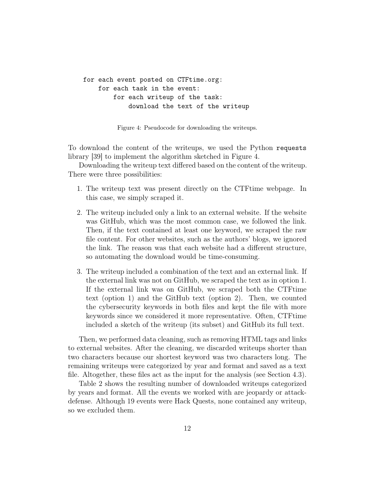```
for each event posted on CTFtime.org:
    for each task in the event:
        for each writeup of the task:
            download the text of the writeup
```
Figure 4: Pseudocode for downloading the writeups.

To download the content of the writeups, we used the Python requests library [39] to implement the algorithm sketched in Figure 4.

Downloading the writeup text differed based on the content of the writeup. There were three possibilities:

- 1. The writeup text was present directly on the CTFtime webpage. In this case, we simply scraped it.
- 2. The writeup included only a link to an external website. If the website was GitHub, which was the most common case, we followed the link. Then, if the text contained at least one keyword, we scraped the raw file content. For other websites, such as the authors' blogs, we ignored the link. The reason was that each website had a different structure, so automating the download would be time-consuming.
- 3. The writeup included a combination of the text and an external link. If the external link was not on GitHub, we scraped the text as in option 1. If the external link was on GitHub, we scraped both the CTFtime text (option 1) and the GitHub text (option 2). Then, we counted the cybersecurity keywords in both files and kept the file with more keywords since we considered it more representative. Often, CTFtime included a sketch of the writeup (its subset) and GitHub its full text.

Then, we performed data cleaning, such as removing HTML tags and links to external websites. After the cleaning, we discarded writeups shorter than two characters because our shortest keyword was two characters long. The remaining writeups were categorized by year and format and saved as a text file. Altogether, these files act as the input for the analysis (see Section 4.3).

Table 2 shows the resulting number of downloaded writeups categorized by years and format. All the events we worked with are jeopardy or attackdefense. Although 19 events were Hack Quests, none contained any writeup, so we excluded them.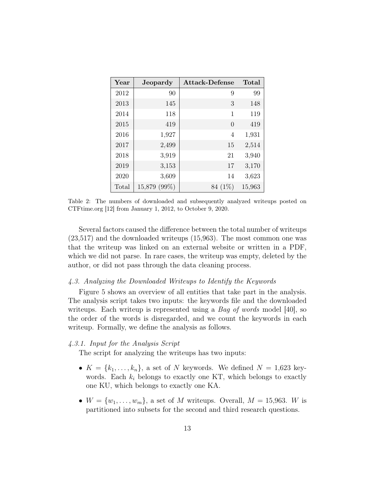| Year  | Jeopardy     | Attack-Defense | Total  |
|-------|--------------|----------------|--------|
| 2012  | 90           | 9              | 99     |
| 2013  | 145          | 3              | 148    |
| 2014  | 118          | 1              | 119    |
| 2015  | 419          | $\theta$       | 419    |
| 2016  | 1,927        | 4              | 1,931  |
| 2017  | 2,499        | 15             | 2,514  |
| 2018  | 3,919        | 21             | 3,940  |
| 2019  | 3,153        | 17             | 3,170  |
| 2020  | 3,609        | 14             | 3,623  |
| Total | 15,879 (99%) | $(1\%)$<br>84  | 15,963 |

Table 2: The numbers of downloaded and subsequently analyzed writeups posted on CTFtime.org [12] from January 1, 2012, to October 9, 2020.

Several factors caused the difference between the total number of writeups (23,517) and the downloaded writeups (15,963). The most common one was that the writeup was linked on an external website or written in a PDF, which we did not parse. In rare cases, the writeup was empty, deleted by the author, or did not pass through the data cleaning process.

## 4.3. Analyzing the Downloaded Writeups to Identify the Keywords

Figure 5 shows an overview of all entities that take part in the analysis. The analysis script takes two inputs: the keywords file and the downloaded writeups. Each writeup is represented using a *Bag of words* model [40], so the order of the words is disregarded, and we count the keywords in each writeup. Formally, we define the analysis as follows.

## 4.3.1. Input for the Analysis Script

The script for analyzing the writeups has two inputs:

- $K = \{k_1, \ldots, k_n\}$ , a set of N keywords. We defined  $N = 1,623$  keywords. Each  $k_i$  belongs to exactly one KT, which belongs to exactly one KU, which belongs to exactly one KA.
- $W = \{w_1, \ldots, w_m\}$ , a set of M writeups. Overall,  $M = 15,963$ . W is partitioned into subsets for the second and third research questions.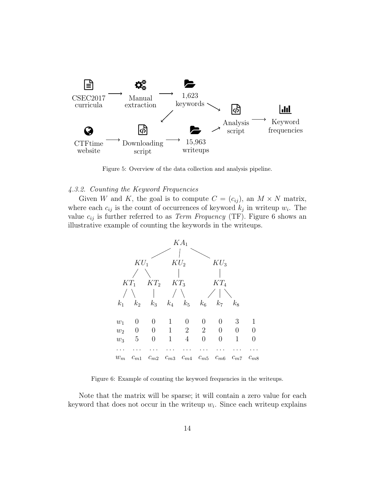

Figure 5: Overview of the data collection and analysis pipeline.

#### 4.3.2. Counting the Keyword Frequencies

Given W and K, the goal is to compute  $C = (c_{ij})$ , an  $M \times N$  matrix, where each  $c_{ij}$  is the count of occurrences of keyword  $k_j$  in writeup  $w_i$ . The value  $c_{ij}$  is further referred to as *Term Frequency* (TF). Figure 6 shows an illustrative example of counting the keywords in the writeups.



Figure 6: Example of counting the keyword frequencies in the writeups.

Note that the matrix will be sparse; it will contain a zero value for each keyword that does not occur in the writeup  $w_i$ . Since each writeup explains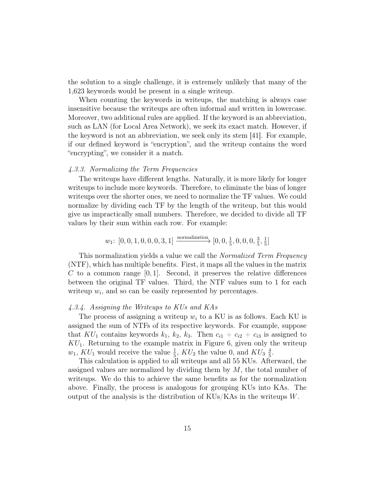the solution to a single challenge, it is extremely unlikely that many of the 1,623 keywords would be present in a single writeup.

When counting the keywords in writeups, the matching is always case insensitive because the writeups are often informal and written in lowercase. Moreover, two additional rules are applied. If the keyword is an abbreviation, such as LAN (for Local Area Network), we seek its exact match. However, if the keyword is not an abbreviation, we seek only its stem [41]. For example, if our defined keyword is "encryption", and the writeup contains the word "encrypting", we consider it a match.

#### 4.3.3. Normalizing the Term Frequencies

The writeups have different lengths. Naturally, it is more likely for longer writeups to include more keywords. Therefore, to eliminate the bias of longer writeups over the shorter ones, we need to normalize the TF values. We could normalize by dividing each TF by the length of the writeup, but this would give us impractically small numbers. Therefore, we decided to divide all TF values by their sum within each row. For example:

$$
w_1 \colon [0, 0, 1, 0, 0, 0, 3, 1] \xrightarrow{\text{normalization}} [0, 0, \frac{1}{5}, 0, 0, 0, \frac{3}{5}, \frac{1}{5}]
$$

This normalization yields a value we call the *Normalized Term Frequency* (NTF), which has multiple benefits. First, it maps all the values in the matrix C to a common range  $[0, 1]$ . Second, it preserves the relative differences between the original TF values. Third, the NTF values sum to 1 for each writeup  $w_i$ , and so can be easily represented by percentages.

## 4.3.4. Assigning the Writeups to KUs and KAs

The process of assigning a writeup  $w_i$  to a KU is as follows. Each KU is assigned the sum of NTFs of its respective keywords. For example, suppose that  $KU_1$  contains keywords  $k_1, k_2, k_3$ . Then  $c_{i1} + c_{i2} + c_{i3}$  is assigned to  $KU_1$ . Returning to the example matrix in Figure 6, given only the writeup  $w_1, KU_1$  would receive the value  $\frac{1}{5}$ ,  $KU_2$  the value 0, and  $KU_3 \frac{4}{5}$  $\frac{4}{5}$ .

This calculation is applied to all writeups and all 55 KUs. Afterward, the assigned values are normalized by dividing them by  $M$ , the total number of writeups. We do this to achieve the same benefits as for the normalization above. Finally, the process is analogous for grouping KUs into KAs. The output of the analysis is the distribution of  $KUs/KAs$  in the writeups  $W$ .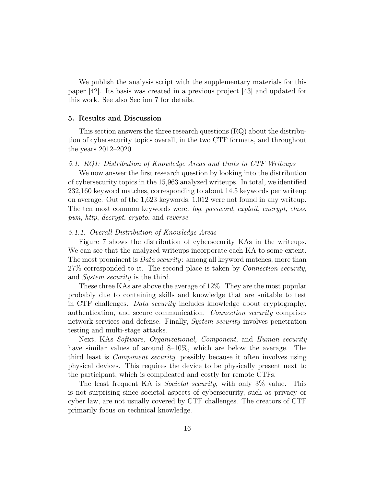We publish the analysis script with the supplementary materials for this paper [42]. Its basis was created in a previous project [43] and updated for this work. See also Section 7 for details.

#### 5. Results and Discussion

This section answers the three research questions (RQ) about the distribution of cybersecurity topics overall, in the two CTF formats, and throughout the years 2012–2020.

## 5.1. RQ1: Distribution of Knowledge Areas and Units in CTF Writeups

We now answer the first research question by looking into the distribution of cybersecurity topics in the 15,963 analyzed writeups. In total, we identified 232,160 keyword matches, corresponding to about 14.5 keywords per writeup on average. Out of the 1,623 keywords, 1,012 were not found in any writeup. The ten most common keywords were: log, password, exploit, encrypt, class, pwn, http, decrypt, crypto, and reverse.

#### 5.1.1. Overall Distribution of Knowledge Areas

Figure 7 shows the distribution of cybersecurity KAs in the writeups. We can see that the analyzed writeups incorporate each KA to some extent. The most prominent is *Data security*: among all keyword matches, more than 27% corresponded to it. The second place is taken by *Connection security*, and System security is the third.

These three KAs are above the average of 12%. They are the most popular probably due to containing skills and knowledge that are suitable to test in CTF challenges. Data security includes knowledge about cryptography, authentication, and secure communication. Connection security comprises network services and defense. Finally, System security involves penetration testing and multi-stage attacks.

Next, KAs Software, Organizational, Component, and Human security have similar values of around 8–10%, which are below the average. The third least is Component security, possibly because it often involves using physical devices. This requires the device to be physically present next to the participant, which is complicated and costly for remote CTFs.

The least frequent KA is *Societal security*, with only 3\% value. This is not surprising since societal aspects of cybersecurity, such as privacy or cyber law, are not usually covered by CTF challenges. The creators of CTF primarily focus on technical knowledge.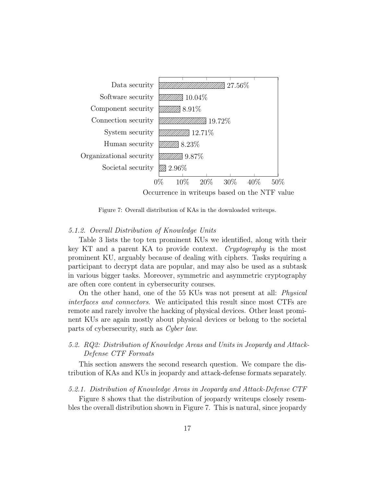

Figure 7: Overall distribution of KAs in the downloaded writeups.

#### 5.1.2. Overall Distribution of Knowledge Units

Table 3 lists the top ten prominent KUs we identified, along with their key KT and a parent KA to provide context. Cryptography is the most prominent KU, arguably because of dealing with ciphers. Tasks requiring a participant to decrypt data are popular, and may also be used as a subtask in various bigger tasks. Moreover, symmetric and asymmetric cryptography are often core content in cybersecurity courses.

On the other hand, one of the 55 KUs was not present at all: Physical interfaces and connectors. We anticipated this result since most CTFs are remote and rarely involve the hacking of physical devices. Other least prominent KUs are again mostly about physical devices or belong to the societal parts of cybersecurity, such as Cyber law.

# 5.2. RQ2: Distribution of Knowledge Areas and Units in Jeopardy and Attack-Defense CTF Formats

This section answers the second research question. We compare the distribution of KAs and KUs in jeopardy and attack-defense formats separately.

## 5.2.1. Distribution of Knowledge Areas in Jeopardy and Attack-Defense CTF

Figure 8 shows that the distribution of jeopardy writeups closely resembles the overall distribution shown in Figure 7. This is natural, since jeopardy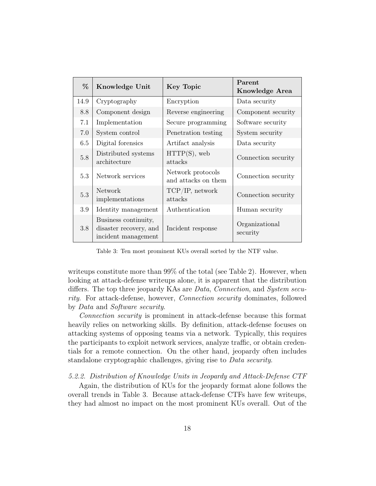| %    | Knowledge Unit                                                        | <b>Key Topic</b>                         | Parent<br>Knowledge Area   |
|------|-----------------------------------------------------------------------|------------------------------------------|----------------------------|
| 14.9 | Cryptography                                                          | Encryption                               | Data security              |
| 8.8  | Component design                                                      | Reverse engineering                      | Component security         |
| 7.1  | Implementation                                                        | Secure programming                       | Software security          |
| 7.0  | System control                                                        | Penetration testing                      | System security            |
| 6.5  | Digital forensics                                                     | Artifact analysis                        | Data security              |
| 5.8  | Distributed systems<br>architecture                                   | HTTP(S), web<br>attacks                  | Connection security        |
| 5.3  | Network services                                                      | Network protocols<br>and attacks on them | Connection security        |
| 5.3  | <b>Network</b><br>implementations                                     | TCP/IP, network<br>attacks               | Connection security        |
| 3.9  | Identity management                                                   | Authentication                           | Human security             |
| 3.8  | Business continuity,<br>disaster recovery, and<br>incident management | Incident response                        | Organizational<br>security |

Table 3: Ten most prominent KUs overall sorted by the NTF value.

writeups constitute more than 99% of the total (see Table 2). However, when looking at attack-defense writeups alone, it is apparent that the distribution differs. The top three jeopardy KAs are *Data, Connection*, and *System secu*rity. For attack-defense, however, Connection security dominates, followed by Data and Software security.

Connection security is prominent in attack-defense because this format heavily relies on networking skills. By definition, attack-defense focuses on attacking systems of opposing teams via a network. Typically, this requires the participants to exploit network services, analyze traffic, or obtain credentials for a remote connection. On the other hand, jeopardy often includes standalone cryptographic challenges, giving rise to Data security.

5.2.2. Distribution of Knowledge Units in Jeopardy and Attack-Defense CTF

Again, the distribution of KUs for the jeopardy format alone follows the overall trends in Table 3. Because attack-defense CTFs have few writeups, they had almost no impact on the most prominent KUs overall. Out of the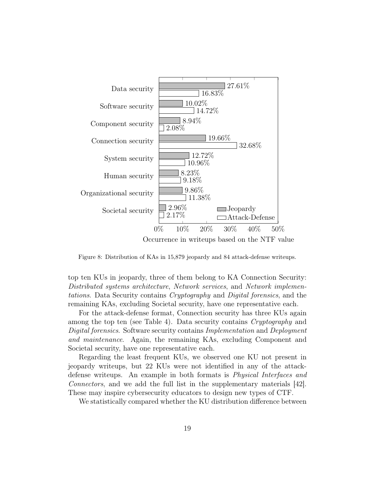

Figure 8: Distribution of KAs in 15,879 jeopardy and 84 attack-defense writeups.

top ten KUs in jeopardy, three of them belong to KA Connection Security: Distributed systems architecture, Network services, and Network implementations. Data Security contains Cryptography and Digital forensics, and the remaining KAs, excluding Societal security, have one representative each.

For the attack-defense format, Connection security has three KUs again among the top ten (see Table 4). Data security contains Cryptography and Digital forensics. Software security contains Implementation and Deployment and maintenance. Again, the remaining KAs, excluding Component and Societal security, have one representative each.

Regarding the least frequent KUs, we observed one KU not present in jeopardy writeups, but 22 KUs were not identified in any of the attackdefense writeups. An example in both formats is Physical Interfaces and Connectors, and we add the full list in the supplementary materials [42]. These may inspire cybersecurity educators to design new types of CTF.

We statistically compared whether the KU distribution difference between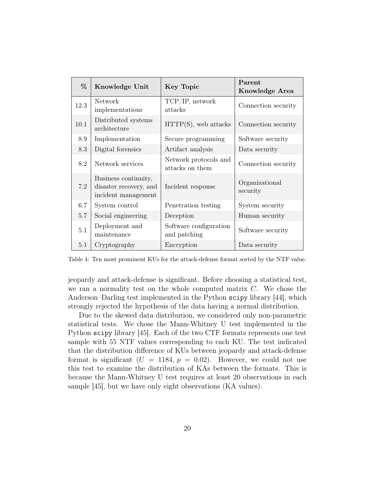| %    | Knowledge Unit                                                        | <b>Key Topic</b>                                                                                               | Parent<br><b>Knowledge Area</b> |
|------|-----------------------------------------------------------------------|----------------------------------------------------------------------------------------------------------------|---------------------------------|
| 12.3 | <b>Network</b><br>implementations                                     | $\ensuremath{\mathcal{T}}\ensuremath{\mathcal{CP}}\xspace/\ensuremath{\mathcal{IP}}\xspace$ network<br>attacks | Connection security             |
| 10.1 | Distributed systems<br>architecture                                   | $HTTP(S)$ , web attacks                                                                                        | Connection security             |
| 8.9  | Implementation                                                        | Secure programming                                                                                             | Software security               |
| 8.3  | Digital forensics                                                     | Artifact analysis                                                                                              | Data security                   |
| 8.2  | Network services                                                      | Network protocols and<br>attacks on them                                                                       | Connection security             |
| 7.2  | Business continuity,<br>disaster recovery, and<br>incident management | Incident response                                                                                              | Organizational<br>security      |
| 6.7  | System control                                                        | Penetration testing                                                                                            | System security                 |
| 5.7  | Social engineering                                                    | Deception                                                                                                      | Human security                  |
| 5.1  | Deployment and<br>maintenance                                         | Software configuration<br>and patching                                                                         | Software security               |
| 5.1  | Cryptography                                                          | Encryption                                                                                                     | Data security                   |

Table 4: Ten most prominent KUs for the attack-defense format sorted by the NTF value.

jeopardy and attack-defense is significant. Before choosing a statistical test, we ran a normality test on the whole computed matrix  $C$ . We chose the Anderson–Darling test implemented in the Python scipy library [44], which strongly rejected the hypothesis of the data having a normal distribution.

Due to the skewed data distribution, we considered only non-parametric statistical tests. We chose the Mann-Whitney U test implemented in the Python scipy library [45]. Each of the two CTF formats represents one test sample with 55 NTF values corresponding to each KU. The test indicated that the distribution difference of KUs between jeopardy and attack-defense format is significant  $(U = 1184, p = 0.02)$ . However, we could not use this test to examine the distribution of KAs between the formats. This is because the Mann-Whitney U test requires at least 20 observations in each sample [45], but we have only eight observations (KA values).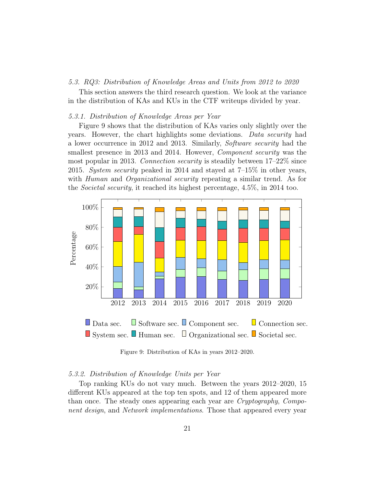#### 5.3. RQ3: Distribution of Knowledge Areas and Units from 2012 to 2020

This section answers the third research question. We look at the variance in the distribution of KAs and KUs in the CTF writeups divided by year.

#### 5.3.1. Distribution of Knowledge Areas per Year

Figure 9 shows that the distribution of KAs varies only slightly over the years. However, the chart highlights some deviations. Data security had a lower occurrence in 2012 and 2013. Similarly, Software security had the smallest presence in 2013 and 2014. However, *Component security* was the most popular in 2013. Connection security is steadily between 17–22% since 2015. System security peaked in 2014 and stayed at 7–15% in other years, with *Human* and *Organizational security* repeating a similar trend. As for the Societal security, it reached its highest percentage, 4.5%, in 2014 too.



Figure 9: Distribution of KAs in years 2012–2020.

#### 5.3.2. Distribution of Knowledge Units per Year

Top ranking KUs do not vary much. Between the years 2012–2020, 15 different KUs appeared at the top ten spots, and 12 of them appeared more than once. The steady ones appearing each year are Cryptography, Component design, and Network implementations. Those that appeared every year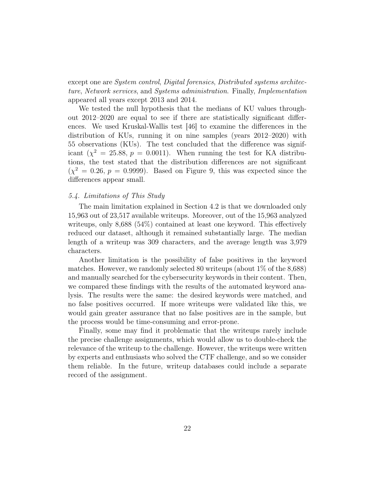except one are System control, Digital forensics, Distributed systems architecture, Network services, and Systems administration. Finally, Implementation appeared all years except 2013 and 2014.

We tested the null hypothesis that the medians of KU values throughout 2012–2020 are equal to see if there are statistically significant differences. We used Kruskal-Wallis test [46] to examine the differences in the distribution of KUs, running it on nine samples (years 2012–2020) with 55 observations (KUs). The test concluded that the difference was significant  $(\chi^2 = 25.88, p = 0.0011)$ . When running the test for KA distributions, the test stated that the distribution differences are not significant  $(\chi^2 = 0.26, p = 0.9999)$ . Based on Figure 9, this was expected since the differences appear small.

## 5.4. Limitations of This Study

The main limitation explained in Section 4.2 is that we downloaded only 15,963 out of 23,517 available writeups. Moreover, out of the 15,963 analyzed writeups, only 8,688 (54%) contained at least one keyword. This effectively reduced our dataset, although it remained substantially large. The median length of a writeup was 309 characters, and the average length was 3,979 characters.

Another limitation is the possibility of false positives in the keyword matches. However, we randomly selected 80 writeups (about 1% of the 8,688) and manually searched for the cybersecurity keywords in their content. Then, we compared these findings with the results of the automated keyword analysis. The results were the same: the desired keywords were matched, and no false positives occurred. If more writeups were validated like this, we would gain greater assurance that no false positives are in the sample, but the process would be time-consuming and error-prone.

Finally, some may find it problematic that the writeups rarely include the precise challenge assignments, which would allow us to double-check the relevance of the writeup to the challenge. However, the writeups were written by experts and enthusiasts who solved the CTF challenge, and so we consider them reliable. In the future, writeup databases could include a separate record of the assignment.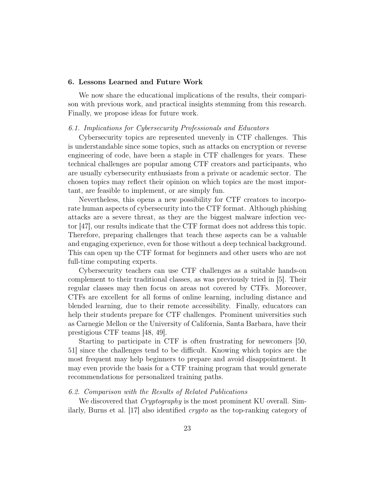#### 6. Lessons Learned and Future Work

We now share the educational implications of the results, their comparison with previous work, and practical insights stemming from this research. Finally, we propose ideas for future work.

#### 6.1. Implications for Cybersecurity Professionals and Educators

Cybersecurity topics are represented unevenly in CTF challenges. This is understandable since some topics, such as attacks on encryption or reverse engineering of code, have been a staple in CTF challenges for years. These technical challenges are popular among CTF creators and participants, who are usually cybersecurity enthusiasts from a private or academic sector. The chosen topics may reflect their opinion on which topics are the most important, are feasible to implement, or are simply fun.

Nevertheless, this opens a new possibility for CTF creators to incorporate human aspects of cybersecurity into the CTF format. Although phishing attacks are a severe threat, as they are the biggest malware infection vector [47], our results indicate that the CTF format does not address this topic. Therefore, preparing challenges that teach these aspects can be a valuable and engaging experience, even for those without a deep technical background. This can open up the CTF format for beginners and other users who are not full-time computing experts.

Cybersecurity teachers can use CTF challenges as a suitable hands-on complement to their traditional classes, as was previously tried in [5]. Their regular classes may then focus on areas not covered by CTFs. Moreover, CTFs are excellent for all forms of online learning, including distance and blended learning, due to their remote accessibility. Finally, educators can help their students prepare for CTF challenges. Prominent universities such as Carnegie Mellon or the University of California, Santa Barbara, have their prestigious CTF teams [48, 49].

Starting to participate in CTF is often frustrating for newcomers [50, 51] since the challenges tend to be difficult. Knowing which topics are the most frequent may help beginners to prepare and avoid disappointment. It may even provide the basis for a CTF training program that would generate recommendations for personalized training paths.

# 6.2. Comparison with the Results of Related Publications

We discovered that *Cryptography* is the most prominent KU overall. Similarly, Burns et al. [17] also identified crypto as the top-ranking category of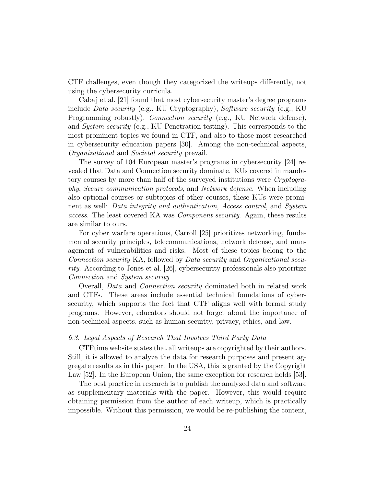CTF challenges, even though they categorized the writeups differently, not using the cybersecurity curricula.

Cabaj et al. [21] found that most cybersecurity master's degree programs include Data security (e.g., KU Cryptography), Software security (e.g., KU Programming robustly), *Connection security* (e.g., KU Network defense), and System security (e.g., KU Penetration testing). This corresponds to the most prominent topics we found in CTF, and also to those most researched in cybersecurity education papers [30]. Among the non-technical aspects, Organizational and Societal security prevail.

The survey of 104 European master's programs in cybersecurity [24] revealed that Data and Connection security dominate. KUs covered in mandatory courses by more than half of the surveyed institutions were Cryptography, Secure communication protocols, and Network defense. When including also optional courses or subtopics of other courses, these KUs were prominent as well: Data integrity and authentication, Access control, and System access. The least covered KA was Component security. Again, these results are similar to ours.

For cyber warfare operations, Carroll [25] prioritizes networking, fundamental security principles, telecommunications, network defense, and management of vulnerabilities and risks. Most of these topics belong to the Connection security KA, followed by Data security and Organizational security. According to Jones et al. [26], cybersecurity professionals also prioritize Connection and System security.

Overall, Data and Connection security dominated both in related work and CTFs. These areas include essential technical foundations of cybersecurity, which supports the fact that CTF aligns well with formal study programs. However, educators should not forget about the importance of non-technical aspects, such as human security, privacy, ethics, and law.

#### 6.3. Legal Aspects of Research That Involves Third Party Data

CTFtime website states that all writeups are copyrighted by their authors. Still, it is allowed to analyze the data for research purposes and present aggregate results as in this paper. In the USA, this is granted by the Copyright Law [52]. In the European Union, the same exception for research holds [53].

The best practice in research is to publish the analyzed data and software as supplementary materials with the paper. However, this would require obtaining permission from the author of each writeup, which is practically impossible. Without this permission, we would be re-publishing the content,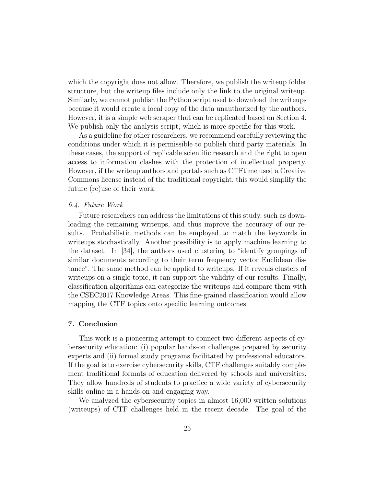which the copyright does not allow. Therefore, we publish the writeup folder structure, but the writeup files include only the link to the original writeup. Similarly, we cannot publish the Python script used to download the writeups because it would create a local copy of the data unauthorized by the authors. However, it is a simple web scraper that can be replicated based on Section 4. We publish only the analysis script, which is more specific for this work.

As a guideline for other researchers, we recommend carefully reviewing the conditions under which it is permissible to publish third party materials. In these cases, the support of replicable scientific research and the right to open access to information clashes with the protection of intellectual property. However, if the writeup authors and portals such as CTFtime used a Creative Commons license instead of the traditional copyright, this would simplify the future (re)use of their work.

#### 6.4. Future Work

Future researchers can address the limitations of this study, such as downloading the remaining writeups, and thus improve the accuracy of our results. Probabilistic methods can be employed to match the keywords in writeups stochastically. Another possibility is to apply machine learning to the dataset. In [34], the authors used clustering to "identify groupings of similar documents according to their term frequency vector Euclidean distance". The same method can be applied to writeups. If it reveals clusters of writeups on a single topic, it can support the validity of our results. Finally, classification algorithms can categorize the writeups and compare them with the CSEC2017 Knowledge Areas. This fine-grained classification would allow mapping the CTF topics onto specific learning outcomes.

#### 7. Conclusion

This work is a pioneering attempt to connect two different aspects of cybersecurity education: (i) popular hands-on challenges prepared by security experts and (ii) formal study programs facilitated by professional educators. If the goal is to exercise cybersecurity skills, CTF challenges suitably complement traditional formats of education delivered by schools and universities. They allow hundreds of students to practice a wide variety of cybersecurity skills online in a hands-on and engaging way.

We analyzed the cybersecurity topics in almost 16,000 written solutions (writeups) of CTF challenges held in the recent decade. The goal of the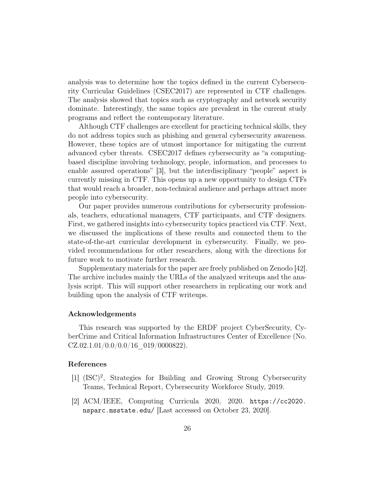analysis was to determine how the topics defined in the current Cybersecurity Curricular Guidelines (CSEC2017) are represented in CTF challenges. The analysis showed that topics such as cryptography and network security dominate. Interestingly, the same topics are prevalent in the current study programs and reflect the contemporary literature.

Although CTF challenges are excellent for practicing technical skills, they do not address topics such as phishing and general cybersecurity awareness. However, these topics are of utmost importance for mitigating the current advanced cyber threats. CSEC2017 defines cybersecurity as "a computingbased discipline involving technology, people, information, and processes to enable assured operations" [3], but the interdisciplinary "people" aspect is currently missing in CTF. This opens up a new opportunity to design CTFs that would reach a broader, non-technical audience and perhaps attract more people into cybersecurity.

Our paper provides numerous contributions for cybersecurity professionals, teachers, educational managers, CTF participants, and CTF designers. First, we gathered insights into cybersecurity topics practiced via CTF. Next, we discussed the implications of these results and connected them to the state-of-the-art curricular development in cybersecurity. Finally, we provided recommendations for other researchers, along with the directions for future work to motivate further research.

Supplementary materials for the paper are freely published on Zenodo [42]. The archive includes mainly the URLs of the analyzed writeups and the analysis script. This will support other researchers in replicating our work and building upon the analysis of CTF writeups.

#### Acknowledgements

This research was supported by the ERDF project CyberSecurity, CyberCrime and Critical Information Infrastructures Center of Excellence (No.  $CZ.02.1.01/0.0/0.0/16$  019/0000822).

## References

- [1] (ISC)<sup>2</sup>, Strategies for Building and Growing Strong Cybersecurity Teams, Technical Report, Cybersecurity Workforce Study, 2019.
- [2] ACM/IEEE, Computing Curricula 2020, 2020. https://cc2020. nsparc.msstate.edu/ [Last accessed on October 23, 2020].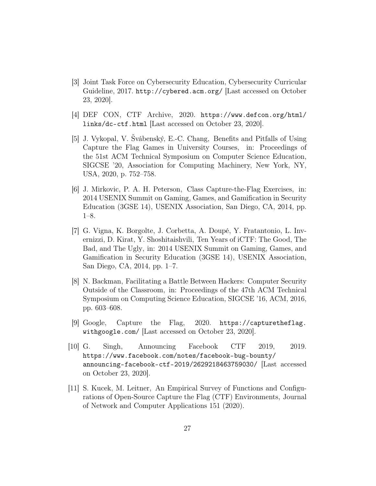- [3] Joint Task Force on Cybersecurity Education, Cybersecurity Curricular Guideline, 2017. http://cybered.acm.org/ [Last accessed on October 23, 2020].
- [4] DEF CON, CTF Archive, 2020. https://www.defcon.org/html/ links/dc-ctf.html [Last accessed on October 23, 2020].
- [5] J. Vykopal, V. Švábenský, E.-C. Chang, Benefits and Pitfalls of Using Capture the Flag Games in University Courses, in: Proceedings of the 51st ACM Technical Symposium on Computer Science Education, SIGCSE '20, Association for Computing Machinery, New York, NY, USA, 2020, p. 752–758.
- [6] J. Mirkovic, P. A. H. Peterson, Class Capture-the-Flag Exercises, in: 2014 USENIX Summit on Gaming, Games, and Gamification in Security Education (3GSE 14), USENIX Association, San Diego, CA, 2014, pp. 1–8.
- [7] G. Vigna, K. Borgolte, J. Corbetta, A. Doupé, Y. Fratantonio, L. Invernizzi, D. Kirat, Y. Shoshitaishvili, Ten Years of iCTF: The Good, The Bad, and The Ugly, in: 2014 USENIX Summit on Gaming, Games, and Gamification in Security Education (3GSE 14), USENIX Association, San Diego, CA, 2014, pp. 1–7.
- [8] N. Backman, Facilitating a Battle Between Hackers: Computer Security Outside of the Classroom, in: Proceedings of the 47th ACM Technical Symposium on Computing Science Education, SIGCSE '16, ACM, 2016, pp. 603–608.
- [9] Google, Capture the Flag, 2020. https://capturetheflag. withgoogle.com/ [Last accessed on October 23, 2020].
- [10] G. Singh, Announcing Facebook CTF 2019, 2019. https://www.facebook.com/notes/facebook-bug-bounty/ announcing-facebook-ctf-2019/2629218463759030/ [Last accessed on October 23, 2020].
- [11] S. Kucek, M. Leitner, An Empirical Survey of Functions and Configurations of Open-Source Capture the Flag (CTF) Environments, Journal of Network and Computer Applications 151 (2020).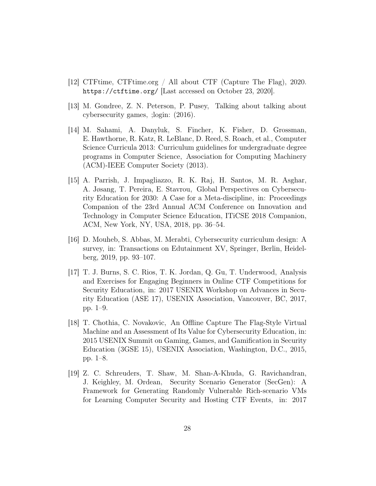- [12] CTFtime, CTFtime.org / All about CTF (Capture The Flag), 2020. https://ctftime.org/ [Last accessed on October 23, 2020].
- [13] M. Gondree, Z. N. Peterson, P. Pusey, Talking about talking about cybersecurity games, ;login: (2016).
- [14] M. Sahami, A. Danyluk, S. Fincher, K. Fisher, D. Grossman, E. Hawthorne, R. Katz, R. LeBlanc, D. Reed, S. Roach, et al., Computer Science Curricula 2013: Curriculum guidelines for undergraduate degree programs in Computer Science, Association for Computing Machinery (ACM)-IEEE Computer Society (2013).
- [15] A. Parrish, J. Impagliazzo, R. K. Raj, H. Santos, M. R. Asghar, A. Jøsang, T. Pereira, E. Stavrou, Global Perspectives on Cybersecurity Education for 2030: A Case for a Meta-discipline, in: Proceedings Companion of the 23rd Annual ACM Conference on Innovation and Technology in Computer Science Education, ITiCSE 2018 Companion, ACM, New York, NY, USA, 2018, pp. 36–54.
- [16] D. Mouheb, S. Abbas, M. Merabti, Cybersecurity curriculum design: A survey, in: Transactions on Edutainment XV, Springer, Berlin, Heidelberg, 2019, pp. 93–107.
- [17] T. J. Burns, S. C. Rios, T. K. Jordan, Q. Gu, T. Underwood, Analysis and Exercises for Engaging Beginners in Online CTF Competitions for Security Education, in: 2017 USENIX Workshop on Advances in Security Education (ASE 17), USENIX Association, Vancouver, BC, 2017, pp. 1–9.
- [18] T. Chothia, C. Novakovic, An Offline Capture The Flag-Style Virtual Machine and an Assessment of Its Value for Cybersecurity Education, in: 2015 USENIX Summit on Gaming, Games, and Gamification in Security Education (3GSE 15), USENIX Association, Washington, D.C., 2015, pp. 1–8.
- [19] Z. C. Schreuders, T. Shaw, M. Shan-A-Khuda, G. Ravichandran, J. Keighley, M. Ordean, Security Scenario Generator (SecGen): A Framework for Generating Randomly Vulnerable Rich-scenario VMs for Learning Computer Security and Hosting CTF Events, in: 2017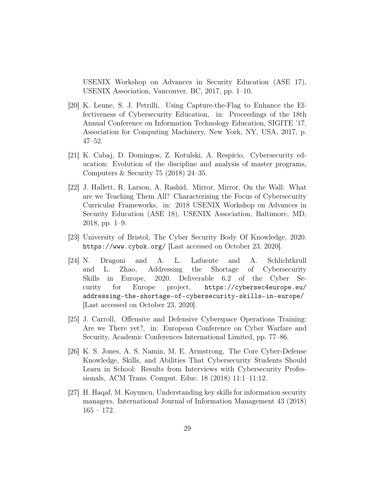USENIX Workshop on Advances in Security Education (ASE 17), USENIX Association, Vancouver, BC, 2017, pp. 1–10.

- [20] K. Leune, S. J. Petrilli, Using Capture-the-Flag to Enhance the Effectiveness of Cybersecurity Education, in: Proceedings of the 18th Annual Conference on Information Technology Education, SIGITE '17, Association for Computing Machinery, New York, NY, USA, 2017, p. 47–52.
- [21] K. Cabaj, D. Domingos, Z. Kotulski, A. Respício, Cybersecurity education: Evolution of the discipline and analysis of master programs, Computers & Security 75 (2018) 24–35.
- [22] J. Hallett, R. Larson, A. Rashid, Mirror, Mirror, On the Wall: What are we Teaching Them All? Characterising the Focus of Cybersecurity Curricular Frameworks, in: 2018 USENIX Workshop on Advances in Security Education (ASE 18), USENIX Association, Baltimore, MD, 2018, pp. 1–9.
- [23] University of Bristol, The Cyber Security Body Of Knowledge, 2020. https://www.cybok.org/ [Last accessed on October 23, 2020].
- [24] N. Dragoni and A. L. Lafuente and A. Schlichtkrull and L. Zhao, Addressing the Shortage of Cybersecurity Skills in Europe, 2020. Deliverable 6.2 of the Cyber Security for Europe project, https://cybersec4europe.eu/ addressing-the-shortage-of-cybersecurity-skills-in-europe/ [Last accessed on October 23, 2020].
- [25] J. Carroll, Offensive and Defensive Cyberspace Operations Training: Are we There yet?, in: European Conference on Cyber Warfare and Security, Academic Conferences International Limited, pp. 77–86.
- [26] K. S. Jones, A. S. Namin, M. E. Armstrong, The Core Cyber-Defense Knowledge, Skills, and Abilities That Cybersecurity Students Should Learn in School: Results from Interviews with Cybersecurity Professionals, ACM Trans. Comput. Educ. 18 (2018) 11:1–11:12.
- [27] H. Haqaf, M. Koyuncu, Understanding key skills for information security managers, International Journal of Information Management 43 (2018) 165 – 172.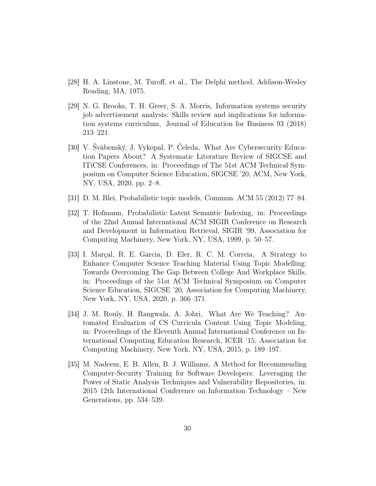- [28] H. A. Linstone, M. Turoff, et al., The Delphi method, Addison-Wesley Reading, MA, 1975.
- [29] N. G. Brooks, T. H. Greer, S. A. Morris, Information systems security job advertisement analysis: Skills review and implications for information systems curriculum, Journal of Education for Business 93 (2018) 213–221.
- [30] V. Švábenský, J. Vykopal, P. Čeleda, What Are Cybersecurity Education Papers About? A Systematic Literature Review of SIGCSE and ITiCSE Conferences, in: Proceedings of The 51st ACM Technical Symposium on Computer Science Education, SIGCSE '20, ACM, New York, NY, USA, 2020, pp. 2–8.
- [31] D. M. Blei, Probabilistic topic models, Commun. ACM 55 (2012) 77–84.
- [32] T. Hofmann, Probabilistic Latent Semantic Indexing, in: Proceedings of the 22nd Annual International ACM SIGIR Conference on Research and Development in Information Retrieval, SIGIR '99, Association for Computing Machinery, New York, NY, USA, 1999, p. 50–57.
- [33] I. Marçal, R. E. Garcia, D. Eler, R. C. M. Correia, A Strategy to Enhance Computer Science Teaching Material Using Topic Modelling: Towards Overcoming The Gap Between College And Workplace Skills, in: Proceedings of the 51st ACM Technical Symposium on Computer Science Education, SIGCSE '20, Association for Computing Machinery, New York, NY, USA, 2020, p. 366–371.
- [34] J. M. Rouly, H. Rangwala, A. Johri, What Are We Teaching? Automated Evaluation of CS Curricula Content Using Topic Modeling, in: Proceedings of the Eleventh Annual International Conference on International Computing Education Research, ICER '15, Association for Computing Machinery, New York, NY, USA, 2015, p. 189–197.
- [35] M. Nadeem, E. B. Allen, B. J. Williams, A Method for Recommending Computer-Security Training for Software Developers: Leveraging the Power of Static Analysis Techniques and Vulnerability Repositories, in: 2015 12th International Conference on Information Technology – New Generations, pp. 534–539.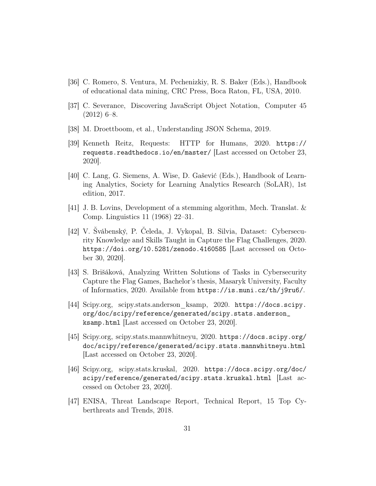- [36] C. Romero, S. Ventura, M. Pechenizkiy, R. S. Baker (Eds.), Handbook of educational data mining, CRC Press, Boca Raton, FL, USA, 2010.
- [37] C. Severance, Discovering JavaScript Object Notation, Computer 45  $(2012)$  6–8.
- [38] M. Droettboom, et al., Understanding JSON Schema, 2019.
- [39] Kenneth Reitz, Requests: HTTP for Humans, 2020. https:// requests.readthedocs.io/en/master/ [Last accessed on October 23, 2020].
- [40] C. Lang, G. Siemens, A. Wise, D. Gašević (Eds.), Handbook of Learning Analytics, Society for Learning Analytics Research (SoLAR), 1st edition, 2017.
- [41] J. B. Lovins, Development of a stemming algorithm, Mech. Translat. & Comp. Linguistics 11 (1968) 22–31.
- [42] V. Švábenský, P. Čeleda, J. Vykopal, B. Silvia, Dataset: Cybersecurity Knowledge and Skills Taught in Capture the Flag Challenges, 2020. https://doi.org/10.5281/zenodo.4160585 [Last accessed on October 30, 2020].
- [43] S. Brišáková, Analyzing Written Solutions of Tasks in Cybersecurity Capture the Flag Games, Bachelor's thesis, Masaryk University, Faculty of Informatics, 2020. Available from https://is.muni.cz/th/j9ru6/.
- [44] Scipy.org, scipy.stats.anderson\_ksamp, 2020. https://docs.scipy. org/doc/scipy/reference/generated/scipy.stats.anderson\_ ksamp.html [Last accessed on October 23, 2020].
- [45] Scipy.org, scipy.stats.mannwhitneyu, 2020. https://docs.scipy.org/ doc/scipy/reference/generated/scipy.stats.mannwhitneyu.html [Last accessed on October 23, 2020].
- [46] Scipy.org, scipy.stats.kruskal, 2020. https://docs.scipy.org/doc/ scipy/reference/generated/scipy.stats.kruskal.html [Last accessed on October 23, 2020].
- [47] ENISA, Threat Landscape Report, Technical Report, 15 Top Cyberthreats and Trends, 2018.